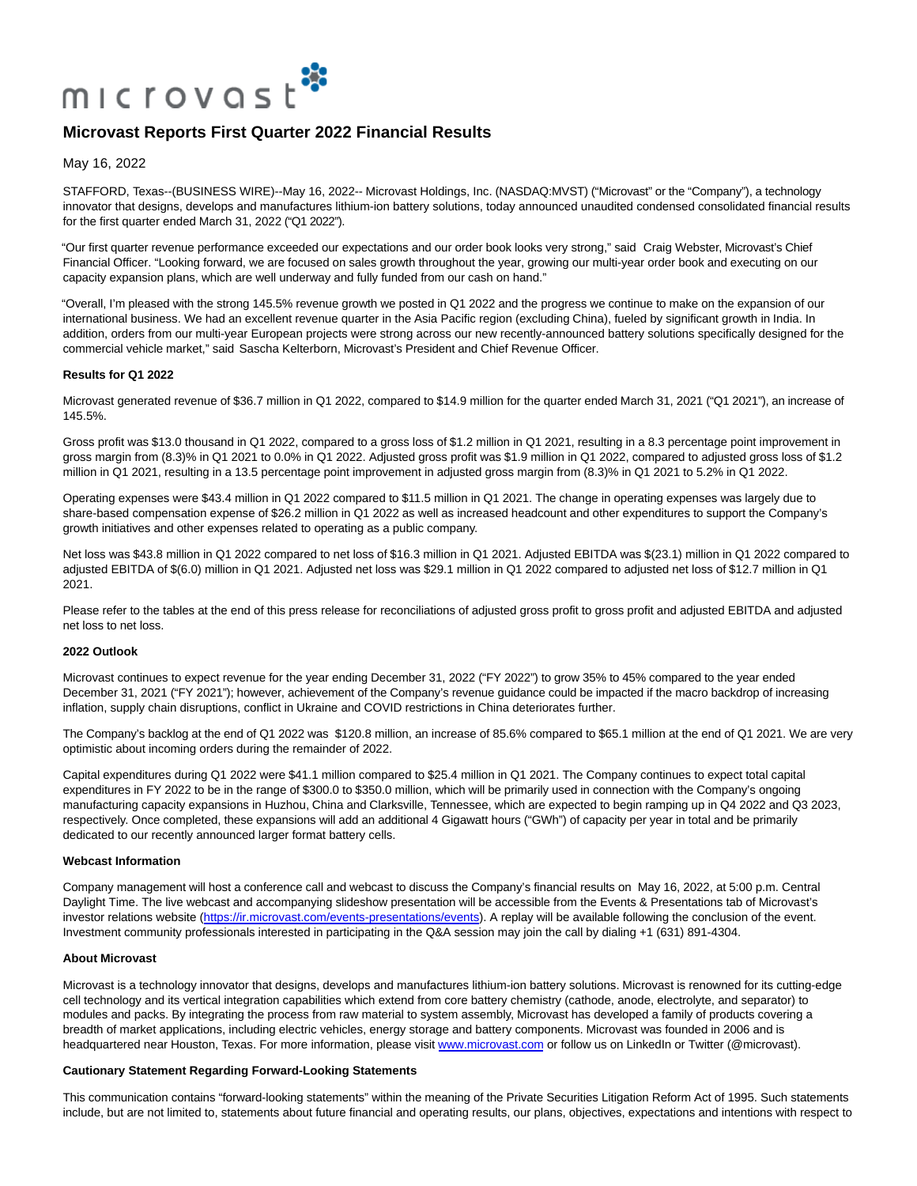

# **Microvast Reports First Quarter 2022 Financial Results**

May 16, 2022

STAFFORD, Texas--(BUSINESS WIRE)--May 16, 2022-- Microvast Holdings, Inc. (NASDAQ:MVST) ("Microvast" or the "Company"), a technology innovator that designs, develops and manufactures lithium-ion battery solutions, today announced unaudited condensed consolidated financial results for the first quarter ended March 31, 2022 ("Q1 2022").

"Our first quarter revenue performance exceeded our expectations and our order book looks very strong," said Craig Webster, Microvast's Chief Financial Officer. "Looking forward, we are focused on sales growth throughout the year, growing our multi-year order book and executing on our capacity expansion plans, which are well underway and fully funded from our cash on hand."

"Overall, I'm pleased with the strong 145.5% revenue growth we posted in Q1 2022 and the progress we continue to make on the expansion of our international business. We had an excellent revenue quarter in the Asia Pacific region (excluding China), fueled by significant growth in India. In addition, orders from our multi-year European projects were strong across our new recently-announced battery solutions specifically designed for the commercial vehicle market," said Sascha Kelterborn, Microvast's President and Chief Revenue Officer.

#### **Results for Q1 2022**

Microvast generated revenue of \$36.7 million in Q1 2022, compared to \$14.9 million for the quarter ended March 31, 2021 ("Q1 2021"), an increase of 145.5%.

Gross profit was \$13.0 thousand in Q1 2022, compared to a gross loss of \$1.2 million in Q1 2021, resulting in a 8.3 percentage point improvement in gross margin from (8.3)% in Q1 2021 to 0.0% in Q1 2022. Adjusted gross profit was \$1.9 million in Q1 2022, compared to adjusted gross loss of \$1.2 million in Q1 2021, resulting in a 13.5 percentage point improvement in adjusted gross margin from (8.3)% in Q1 2021 to 5.2% in Q1 2022.

Operating expenses were \$43.4 million in Q1 2022 compared to \$11.5 million in Q1 2021. The change in operating expenses was largely due to share-based compensation expense of \$26.2 million in Q1 2022 as well as increased headcount and other expenditures to support the Company's growth initiatives and other expenses related to operating as a public company.

Net loss was \$43.8 million in Q1 2022 compared to net loss of \$16.3 million in Q1 2021. Adjusted EBITDA was \$(23.1) million in Q1 2022 compared to adjusted EBITDA of \$(6.0) million in Q1 2021. Adjusted net loss was \$29.1 million in Q1 2022 compared to adjusted net loss of \$12.7 million in Q1 2021.

Please refer to the tables at the end of this press release for reconciliations of adjusted gross profit to gross profit and adjusted EBITDA and adjusted net loss to net loss.

#### **2022 Outlook**

Microvast continues to expect revenue for the year ending December 31, 2022 ("FY 2022") to grow 35% to 45% compared to the year ended December 31, 2021 ("FY 2021"); however, achievement of the Company's revenue guidance could be impacted if the macro backdrop of increasing inflation, supply chain disruptions, conflict in Ukraine and COVID restrictions in China deteriorates further.

The Company's backlog at the end of Q1 2022 was \$120.8 million, an increase of 85.6% compared to \$65.1 million at the end of Q1 2021. We are very optimistic about incoming orders during the remainder of 2022.

Capital expenditures during Q1 2022 were \$41.1 million compared to \$25.4 million in Q1 2021. The Company continues to expect total capital expenditures in FY 2022 to be in the range of \$300.0 to \$350.0 million, which will be primarily used in connection with the Company's ongoing manufacturing capacity expansions in Huzhou, China and Clarksville, Tennessee, which are expected to begin ramping up in Q4 2022 and Q3 2023, respectively. Once completed, these expansions will add an additional 4 Gigawatt hours ("GWh") of capacity per year in total and be primarily dedicated to our recently announced larger format battery cells.

#### **Webcast Information**

Company management will host a conference call and webcast to discuss the Company's financial results on May 16, 2022, at 5:00 p.m. Central Daylight Time. The live webcast and accompanying slideshow presentation will be accessible from the Events & Presentations tab of Microvast's investor relations website [\(https://ir.microvast.com/events-presentations/events\).](https://cts.businesswire.com/ct/CT?id=smartlink&url=https%3A%2F%2Fir.microvast.com%2Fevents-presentations%2Fevents&esheet=52721356&newsitemid=20220516005954&lan=en-US&anchor=https%3A%2F%2Fir.microvast.com%2Fevents-presentations%2Fevents&index=1&md5=50b50741a604c90cdb852ae31228602f) A replay will be available following the conclusion of the event. Investment community professionals interested in participating in the Q&A session may join the call by dialing +1 (631) 891-4304.

### **About Microvast**

Microvast is a technology innovator that designs, develops and manufactures lithium-ion battery solutions. Microvast is renowned for its cutting-edge cell technology and its vertical integration capabilities which extend from core battery chemistry (cathode, anode, electrolyte, and separator) to modules and packs. By integrating the process from raw material to system assembly, Microvast has developed a family of products covering a breadth of market applications, including electric vehicles, energy storage and battery components. Microvast was founded in 2006 and is headquartered near Houston, Texas. For more information, please visit [www.microvast.com o](https://cts.businesswire.com/ct/CT?id=smartlink&url=http%3A%2F%2Fwww.microvast.com&esheet=52721356&newsitemid=20220516005954&lan=en-US&anchor=www.microvast.com&index=2&md5=4c8005c2a2a88039496967ce132b26a4)r follow us on LinkedIn or Twitter (@microvast).

#### **Cautionary Statement Regarding Forward-Looking Statements**

This communication contains "forward-looking statements" within the meaning of the Private Securities Litigation Reform Act of 1995. Such statements include, but are not limited to, statements about future financial and operating results, our plans, objectives, expectations and intentions with respect to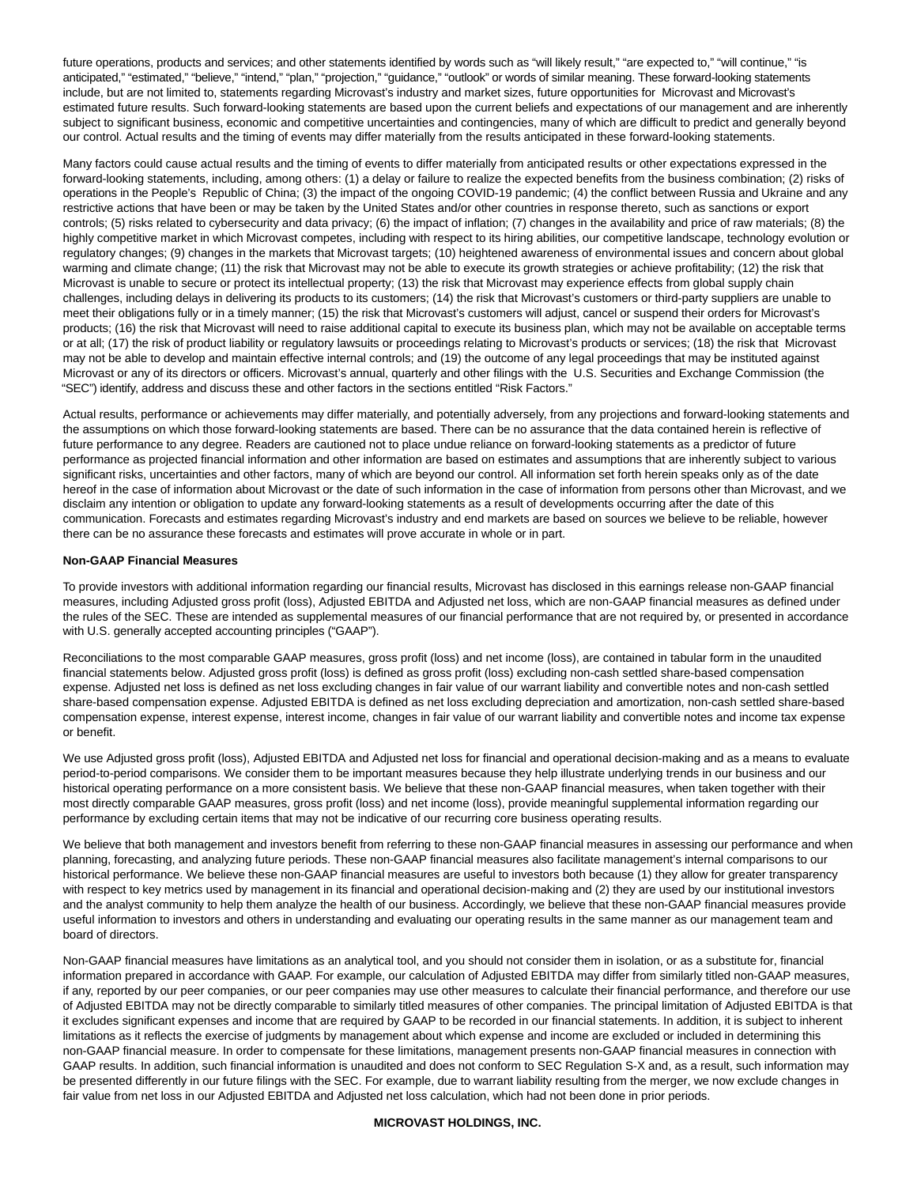future operations, products and services; and other statements identified by words such as "will likely result," "are expected to," "will continue," "is anticipated," "estimated," "believe," "intend," "plan," "projection," "guidance," "outlook" or words of similar meaning. These forward-looking statements include, but are not limited to, statements regarding Microvast's industry and market sizes, future opportunities for Microvast and Microvast's estimated future results. Such forward-looking statements are based upon the current beliefs and expectations of our management and are inherently subject to significant business, economic and competitive uncertainties and contingencies, many of which are difficult to predict and generally beyond our control. Actual results and the timing of events may differ materially from the results anticipated in these forward-looking statements.

Many factors could cause actual results and the timing of events to differ materially from anticipated results or other expectations expressed in the forward-looking statements, including, among others: (1) a delay or failure to realize the expected benefits from the business combination; (2) risks of operations in the People's Republic of China; (3) the impact of the ongoing COVID-19 pandemic; (4) the conflict between Russia and Ukraine and any restrictive actions that have been or may be taken by the United States and/or other countries in response thereto, such as sanctions or export controls; (5) risks related to cybersecurity and data privacy; (6) the impact of inflation; (7) changes in the availability and price of raw materials; (8) the highly competitive market in which Microvast competes, including with respect to its hiring abilities, our competitive landscape, technology evolution or regulatory changes; (9) changes in the markets that Microvast targets; (10) heightened awareness of environmental issues and concern about global warming and climate change; (11) the risk that Microvast may not be able to execute its growth strategies or achieve profitability; (12) the risk that Microvast is unable to secure or protect its intellectual property; (13) the risk that Microvast may experience effects from global supply chain challenges, including delays in delivering its products to its customers; (14) the risk that Microvast's customers or third-party suppliers are unable to meet their obligations fully or in a timely manner; (15) the risk that Microvast's customers will adjust, cancel or suspend their orders for Microvast's products; (16) the risk that Microvast will need to raise additional capital to execute its business plan, which may not be available on acceptable terms or at all; (17) the risk of product liability or regulatory lawsuits or proceedings relating to Microvast's products or services; (18) the risk that Microvast may not be able to develop and maintain effective internal controls; and (19) the outcome of any legal proceedings that may be instituted against Microvast or any of its directors or officers. Microvast's annual, quarterly and other filings with the U.S. Securities and Exchange Commission (the "SEC") identify, address and discuss these and other factors in the sections entitled "Risk Factors."

Actual results, performance or achievements may differ materially, and potentially adversely, from any projections and forward-looking statements and the assumptions on which those forward-looking statements are based. There can be no assurance that the data contained herein is reflective of future performance to any degree. Readers are cautioned not to place undue reliance on forward-looking statements as a predictor of future performance as projected financial information and other information are based on estimates and assumptions that are inherently subject to various significant risks, uncertainties and other factors, many of which are beyond our control. All information set forth herein speaks only as of the date hereof in the case of information about Microvast or the date of such information in the case of information from persons other than Microvast, and we disclaim any intention or obligation to update any forward-looking statements as a result of developments occurring after the date of this communication. Forecasts and estimates regarding Microvast's industry and end markets are based on sources we believe to be reliable, however there can be no assurance these forecasts and estimates will prove accurate in whole or in part.

#### **Non-GAAP Financial Measures**

To provide investors with additional information regarding our financial results, Microvast has disclosed in this earnings release non-GAAP financial measures, including Adjusted gross profit (loss), Adjusted EBITDA and Adjusted net loss, which are non-GAAP financial measures as defined under the rules of the SEC. These are intended as supplemental measures of our financial performance that are not required by, or presented in accordance with U.S. generally accepted accounting principles ("GAAP").

Reconciliations to the most comparable GAAP measures, gross profit (loss) and net income (loss), are contained in tabular form in the unaudited financial statements below. Adjusted gross profit (loss) is defined as gross profit (loss) excluding non-cash settled share-based compensation expense. Adjusted net loss is defined as net loss excluding changes in fair value of our warrant liability and convertible notes and non-cash settled share-based compensation expense. Adjusted EBITDA is defined as net loss excluding depreciation and amortization, non-cash settled share-based compensation expense, interest expense, interest income, changes in fair value of our warrant liability and convertible notes and income tax expense or benefit.

We use Adjusted gross profit (loss), Adjusted EBITDA and Adjusted net loss for financial and operational decision-making and as a means to evaluate period-to-period comparisons. We consider them to be important measures because they help illustrate underlying trends in our business and our historical operating performance on a more consistent basis. We believe that these non-GAAP financial measures, when taken together with their most directly comparable GAAP measures, gross profit (loss) and net income (loss), provide meaningful supplemental information regarding our performance by excluding certain items that may not be indicative of our recurring core business operating results.

We believe that both management and investors benefit from referring to these non-GAAP financial measures in assessing our performance and when planning, forecasting, and analyzing future periods. These non-GAAP financial measures also facilitate management's internal comparisons to our historical performance. We believe these non-GAAP financial measures are useful to investors both because (1) they allow for greater transparency with respect to key metrics used by management in its financial and operational decision-making and (2) they are used by our institutional investors and the analyst community to help them analyze the health of our business. Accordingly, we believe that these non-GAAP financial measures provide useful information to investors and others in understanding and evaluating our operating results in the same manner as our management team and board of directors.

Non-GAAP financial measures have limitations as an analytical tool, and you should not consider them in isolation, or as a substitute for, financial information prepared in accordance with GAAP. For example, our calculation of Adjusted EBITDA may differ from similarly titled non-GAAP measures, if any, reported by our peer companies, or our peer companies may use other measures to calculate their financial performance, and therefore our use of Adjusted EBITDA may not be directly comparable to similarly titled measures of other companies. The principal limitation of Adjusted EBITDA is that it excludes significant expenses and income that are required by GAAP to be recorded in our financial statements. In addition, it is subject to inherent limitations as it reflects the exercise of judgments by management about which expense and income are excluded or included in determining this non-GAAP financial measure. In order to compensate for these limitations, management presents non-GAAP financial measures in connection with GAAP results. In addition, such financial information is unaudited and does not conform to SEC Regulation S-X and, as a result, such information may be presented differently in our future filings with the SEC. For example, due to warrant liability resulting from the merger, we now exclude changes in fair value from net loss in our Adjusted EBITDA and Adjusted net loss calculation, which had not been done in prior periods.

#### **MICROVAST HOLDINGS, INC.**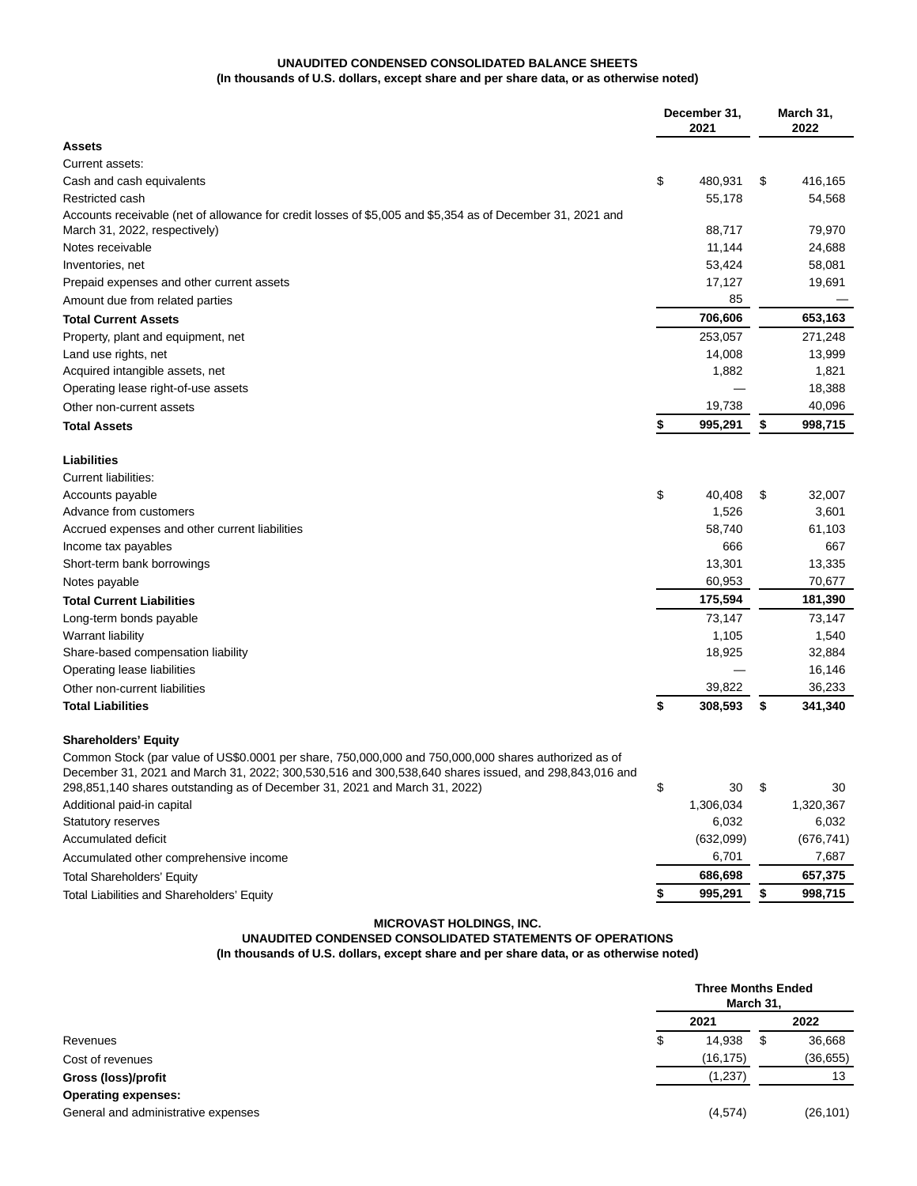#### **UNAUDITED CONDENSED CONSOLIDATED BALANCE SHEETS (In thousands of U.S. dollars, except share and per share data, or as otherwise noted)**

| <b>Assets</b><br>Current assets:<br>\$<br>Cash and cash equivalents                                                                                                                                          | 480,931<br>\$<br>55,178<br>88,717<br>11,144 | 416,165    |
|--------------------------------------------------------------------------------------------------------------------------------------------------------------------------------------------------------------|---------------------------------------------|------------|
|                                                                                                                                                                                                              |                                             |            |
|                                                                                                                                                                                                              |                                             |            |
|                                                                                                                                                                                                              |                                             |            |
| Restricted cash                                                                                                                                                                                              |                                             | 54,568     |
| Accounts receivable (net of allowance for credit losses of \$5,005 and \$5,354 as of December 31, 2021 and                                                                                                   |                                             |            |
| March 31, 2022, respectively)                                                                                                                                                                                |                                             | 79,970     |
| Notes receivable                                                                                                                                                                                             |                                             | 24,688     |
| Inventories, net                                                                                                                                                                                             | 53,424                                      | 58,081     |
| Prepaid expenses and other current assets                                                                                                                                                                    | 17,127                                      | 19,691     |
| Amount due from related parties                                                                                                                                                                              | 85                                          |            |
| <b>Total Current Assets</b>                                                                                                                                                                                  | 706,606                                     | 653,163    |
| Property, plant and equipment, net                                                                                                                                                                           | 253,057                                     | 271,248    |
| Land use rights, net                                                                                                                                                                                         | 14,008                                      | 13,999     |
| Acquired intangible assets, net                                                                                                                                                                              | 1,882                                       | 1,821      |
| Operating lease right-of-use assets                                                                                                                                                                          |                                             | 18,388     |
| Other non-current assets                                                                                                                                                                                     | 19,738                                      | 40,096     |
| \$<br><b>Total Assets</b>                                                                                                                                                                                    | 995,291<br>\$                               | 998,715    |
| Liabilities                                                                                                                                                                                                  |                                             |            |
| <b>Current liabilities:</b>                                                                                                                                                                                  |                                             |            |
| \$<br>Accounts payable                                                                                                                                                                                       | 40,408<br>\$                                | 32,007     |
| Advance from customers                                                                                                                                                                                       | 1,526                                       | 3,601      |
| Accrued expenses and other current liabilities                                                                                                                                                               | 58,740                                      | 61,103     |
| Income tax payables                                                                                                                                                                                          | 666                                         | 667        |
| Short-term bank borrowings                                                                                                                                                                                   | 13,301                                      | 13,335     |
| Notes payable                                                                                                                                                                                                | 60,953                                      | 70,677     |
| <b>Total Current Liabilities</b>                                                                                                                                                                             | 175,594                                     | 181,390    |
| Long-term bonds payable                                                                                                                                                                                      | 73,147                                      | 73,147     |
| Warrant liability                                                                                                                                                                                            | 1,105                                       | 1,540      |
| Share-based compensation liability                                                                                                                                                                           | 18,925                                      | 32,884     |
| Operating lease liabilities                                                                                                                                                                                  |                                             | 16,146     |
| Other non-current liabilities                                                                                                                                                                                | 39,822                                      | 36,233     |
| \$<br><b>Total Liabilities</b>                                                                                                                                                                               | 308,593<br>\$                               | 341,340    |
| <b>Shareholders' Equity</b>                                                                                                                                                                                  |                                             |            |
| Common Stock (par value of US\$0.0001 per share, 750,000,000 and 750,000,000 shares authorized as of<br>December 31, 2021 and March 31, 2022; 300,530,516 and 300,538,640 shares issued, and 298,843,016 and |                                             |            |
| \$<br>298,851,140 shares outstanding as of December 31, 2021 and March 31, 2022)                                                                                                                             | 30<br>\$                                    | 30         |
| Additional paid-in capital                                                                                                                                                                                   | 1,306,034                                   | 1,320,367  |
| Statutory reserves                                                                                                                                                                                           | 6,032                                       | 6,032      |
| Accumulated deficit                                                                                                                                                                                          | (632,099)                                   | (676, 741) |
| Accumulated other comprehensive income                                                                                                                                                                       | 6,701                                       | 7,687      |
| <b>Total Shareholders' Equity</b>                                                                                                                                                                            | 686,698                                     | 657,375    |
| Total Liabilities and Shareholders' Equity<br>\$                                                                                                                                                             | 995,291<br>\$                               | 998,715    |

## **MICROVAST HOLDINGS, INC.**

**UNAUDITED CONDENSED CONSOLIDATED STATEMENTS OF OPERATIONS (In thousands of U.S. dollars, except share and per share data, or as otherwise noted)**

|                                     | <b>Three Months Ended</b><br>March 31, |    |           |  |
|-------------------------------------|----------------------------------------|----|-----------|--|
|                                     | 2021                                   |    | 2022      |  |
| Revenues                            | \$<br>14,938                           | \$ | 36,668    |  |
| Cost of revenues                    | (16, 175)                              |    | (36, 655) |  |
| Gross (loss)/profit                 | (1,237)                                |    | 13        |  |
| <b>Operating expenses:</b>          |                                        |    |           |  |
| General and administrative expenses | (4, 574)                               |    | (26, 101) |  |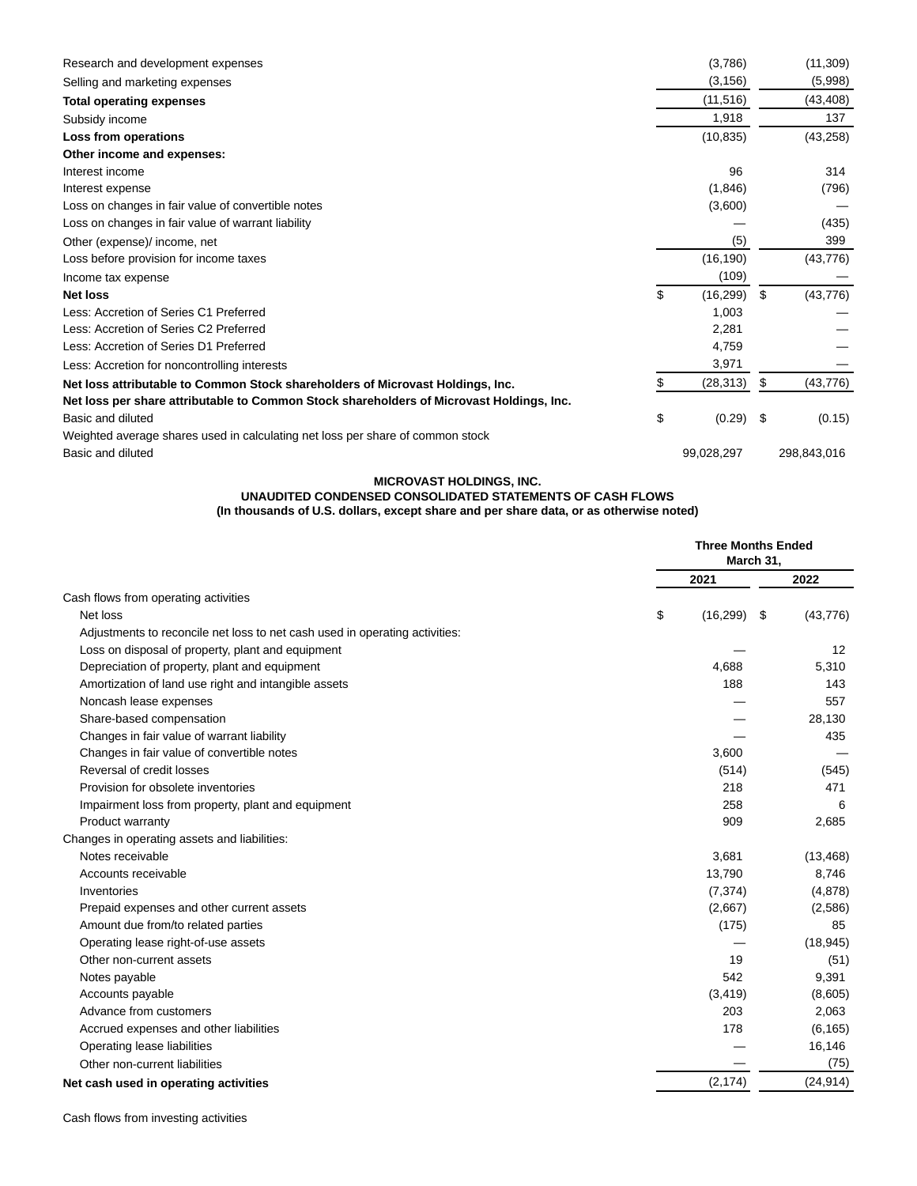| Research and development expenses                                                        | (3,786)         |     | (11, 309)   |
|------------------------------------------------------------------------------------------|-----------------|-----|-------------|
| Selling and marketing expenses                                                           | (3, 156)        |     | (5,998)     |
| <b>Total operating expenses</b>                                                          | (11, 516)       |     | (43, 408)   |
| Subsidy income                                                                           | 1,918           |     | 137         |
| Loss from operations                                                                     | (10, 835)       |     | (43, 258)   |
| Other income and expenses:                                                               |                 |     |             |
| Interest income                                                                          | 96              |     | 314         |
| Interest expense                                                                         | (1,846)         |     | (796)       |
| Loss on changes in fair value of convertible notes                                       | (3,600)         |     |             |
| Loss on changes in fair value of warrant liability                                       |                 |     | (435)       |
| Other (expense)/ income, net                                                             | (5)             |     | 399         |
| Loss before provision for income taxes                                                   | (16, 190)       |     | (43, 776)   |
| Income tax expense                                                                       | (109)           |     |             |
| <b>Net loss</b>                                                                          | \$<br>(16, 299) | \$. | (43, 776)   |
| Less: Accretion of Series C1 Preferred                                                   | 1,003           |     |             |
| Less: Accretion of Series C2 Preferred                                                   | 2,281           |     |             |
| Less: Accretion of Series D1 Preferred                                                   | 4,759           |     |             |
| Less: Accretion for noncontrolling interests                                             | 3,971           |     |             |
| Net loss attributable to Common Stock shareholders of Microvast Holdings, Inc.           | (28,313)        | S   | (43, 776)   |
| Net loss per share attributable to Common Stock shareholders of Microvast Holdings, Inc. |                 |     |             |
| Basic and diluted                                                                        | \$<br>(0.29)    | \$  | (0.15)      |
| Weighted average shares used in calculating net loss per share of common stock           |                 |     |             |
| Basic and diluted                                                                        | 99.028.297      |     | 298,843,016 |

## **MICROVAST HOLDINGS, INC.**

## **UNAUDITED CONDENSED CONSOLIDATED STATEMENTS OF CASH FLOWS (In thousands of U.S. dollars, except share and per share data, or as otherwise noted)**

|                                                                             | <b>Three Months Ended</b><br>March 31, |                 |  |
|-----------------------------------------------------------------------------|----------------------------------------|-----------------|--|
|                                                                             | 2021                                   | 2022            |  |
| Cash flows from operating activities                                        |                                        |                 |  |
| Net loss                                                                    | \$<br>(16, 299)                        | (43, 776)<br>\$ |  |
| Adjustments to reconcile net loss to net cash used in operating activities: |                                        |                 |  |
| Loss on disposal of property, plant and equipment                           |                                        | 12              |  |
| Depreciation of property, plant and equipment                               | 4,688                                  | 5,310           |  |
| Amortization of land use right and intangible assets                        | 188                                    | 143             |  |
| Noncash lease expenses                                                      |                                        | 557             |  |
| Share-based compensation                                                    |                                        | 28,130          |  |
| Changes in fair value of warrant liability                                  |                                        | 435             |  |
| Changes in fair value of convertible notes                                  | 3,600                                  |                 |  |
| Reversal of credit losses                                                   | (514)                                  | (545)           |  |
| Provision for obsolete inventories                                          | 218                                    | 471             |  |
| Impairment loss from property, plant and equipment                          | 258                                    | 6               |  |
| Product warranty                                                            | 909                                    | 2,685           |  |
| Changes in operating assets and liabilities:                                |                                        |                 |  |
| Notes receivable                                                            | 3,681                                  | (13, 468)       |  |
| Accounts receivable                                                         | 13,790                                 | 8,746           |  |
| Inventories                                                                 | (7, 374)                               | (4,878)         |  |
| Prepaid expenses and other current assets                                   | (2,667)                                | (2,586)         |  |
| Amount due from/to related parties                                          | (175)                                  | 85              |  |
| Operating lease right-of-use assets                                         |                                        | (18, 945)       |  |
| Other non-current assets                                                    | 19                                     | (51)            |  |
| Notes payable                                                               | 542                                    | 9,391           |  |
| Accounts payable                                                            | (3, 419)                               | (8,605)         |  |
| Advance from customers                                                      | 203                                    | 2,063           |  |
| Accrued expenses and other liabilities                                      | 178                                    | (6, 165)        |  |
| Operating lease liabilities                                                 |                                        | 16,146          |  |
| Other non-current liabilities                                               |                                        | (75)            |  |
| Net cash used in operating activities                                       | (2, 174)                               | (24, 914)       |  |

Cash flows from investing activities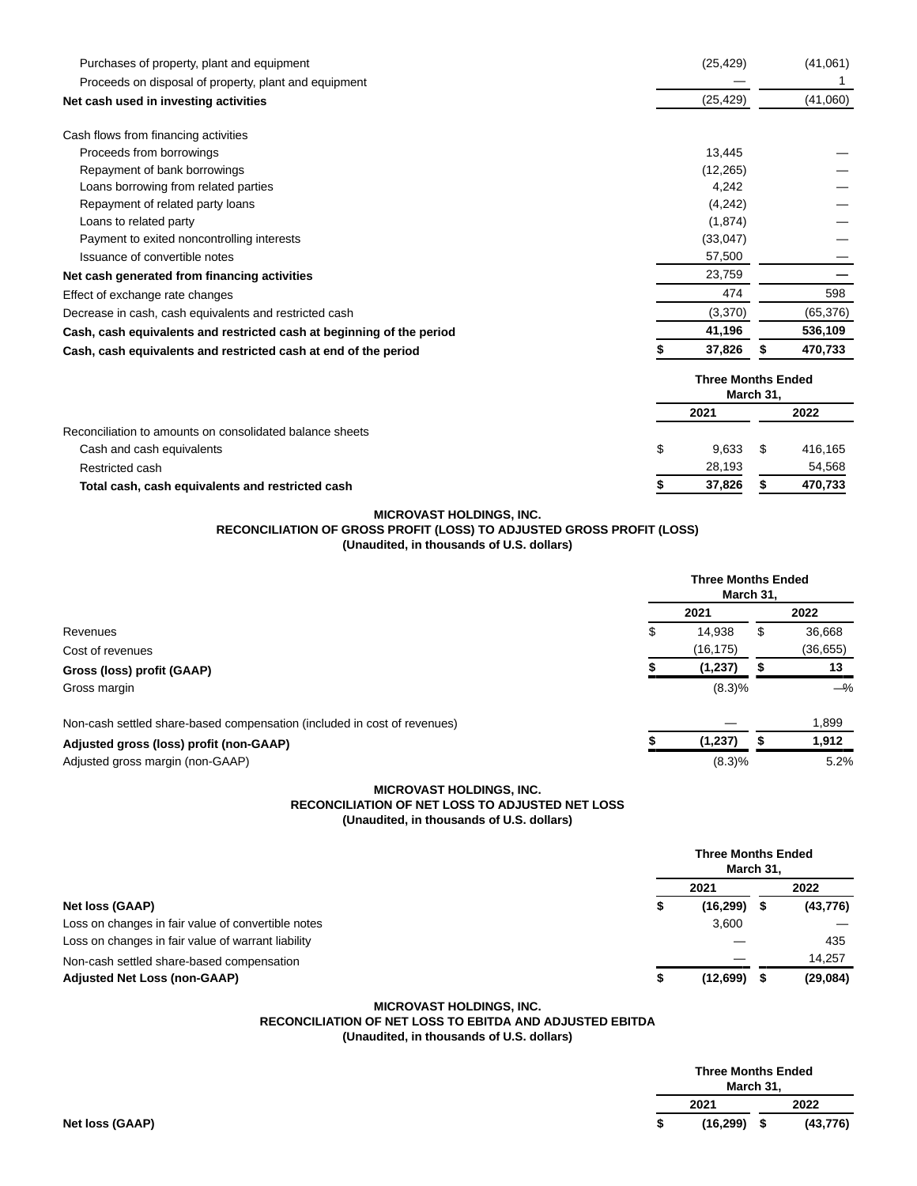| Purchases of property, plant and equipment                            | (25, 429)                 | (41,061)  |
|-----------------------------------------------------------------------|---------------------------|-----------|
| Proceeds on disposal of property, plant and equipment                 |                           |           |
| Net cash used in investing activities                                 | (25, 429)                 | (41,060)  |
| Cash flows from financing activities                                  |                           |           |
| Proceeds from borrowings                                              | 13,445                    |           |
| Repayment of bank borrowings                                          | (12, 265)                 |           |
| Loans borrowing from related parties                                  | 4,242                     |           |
| Repayment of related party loans                                      | (4,242)                   |           |
| Loans to related party                                                | (1,874)                   |           |
| Payment to exited noncontrolling interests                            | (33, 047)                 |           |
| Issuance of convertible notes                                         | 57,500                    |           |
| Net cash generated from financing activities                          | 23,759                    |           |
| Effect of exchange rate changes                                       | 474                       | 598       |
| Decrease in cash, cash equivalents and restricted cash                | (3,370)                   | (65, 376) |
| Cash, cash equivalents and restricted cash at beginning of the period | 41,196                    | 536,109   |
| Cash, cash equivalents and restricted cash at end of the period       | 37,826                    | 470,733   |
|                                                                       | <b>Three Months Ended</b> |           |

|                                                          | <b>THE RIGHT</b><br>March 31. |  |         |  |
|----------------------------------------------------------|-------------------------------|--|---------|--|
|                                                          | 2021                          |  | 2022    |  |
| Reconciliation to amounts on consolidated balance sheets |                               |  |         |  |
| Cash and cash equivalents                                | 9.633                         |  | 416,165 |  |
| Restricted cash                                          | 28.193                        |  | 54.568  |  |
| Total cash, cash equivalents and restricted cash         | 37.826                        |  | 470,733 |  |

#### **MICROVAST HOLDINGS, INC.**

## **RECONCILIATION OF GROSS PROFIT (LOSS) TO ADJUSTED GROSS PROFIT (LOSS)**

**(Unaudited, in thousands of U.S. dollars)**

|                                                                          | <b>Three Months Ended</b><br>March 31, |           |    |           |
|--------------------------------------------------------------------------|----------------------------------------|-----------|----|-----------|
|                                                                          |                                        | 2021      |    | 2022      |
| Revenues                                                                 | \$                                     | 14.938    | \$ | 36,668    |
| Cost of revenues                                                         |                                        | (16, 175) |    | (36, 655) |
| Gross (loss) profit (GAAP)                                               |                                        | (1,237)   |    | 13        |
| Gross margin                                                             |                                        | (8.3)%    |    | $-\%$     |
| Non-cash settled share-based compensation (included in cost of revenues) |                                        |           |    | 1,899     |
| Adjusted gross (loss) profit (non-GAAP)                                  |                                        | (1, 237)  |    | 1,912     |
| Adjusted gross margin (non-GAAP)                                         |                                        | (8.3)%    |    | 5.2%      |

### **MICROVAST HOLDINGS, INC. RECONCILIATION OF NET LOSS TO ADJUSTED NET LOSS (Unaudited, in thousands of U.S. dollars)**

|                                                    | <b>Three Months Ended</b><br>March 31. |           |  |           |
|----------------------------------------------------|----------------------------------------|-----------|--|-----------|
|                                                    |                                        | 2021      |  | 2022      |
| Net loss (GAAP)                                    |                                        | (16, 299) |  | (43, 776) |
| Loss on changes in fair value of convertible notes |                                        | 3.600     |  |           |
| Loss on changes in fair value of warrant liability |                                        |           |  | 435       |
| Non-cash settled share-based compensation          |                                        |           |  | 14.257    |
| <b>Adjusted Net Loss (non-GAAP)</b>                |                                        | (12,699)  |  | (29,084)  |

## **MICROVAST HOLDINGS, INC.**

**RECONCILIATION OF NET LOSS TO EBITDA AND ADJUSTED EBITDA**

**(Unaudited, in thousands of U.S. dollars)**

| Net loss (GAAP) |  | <b>Three Months Ended</b><br>March 31, |  |           |  |
|-----------------|--|----------------------------------------|--|-----------|--|
|                 |  | 2021                                   |  | 2022      |  |
|                 |  | (16, 299)                              |  | (43, 776) |  |
|                 |  |                                        |  |           |  |